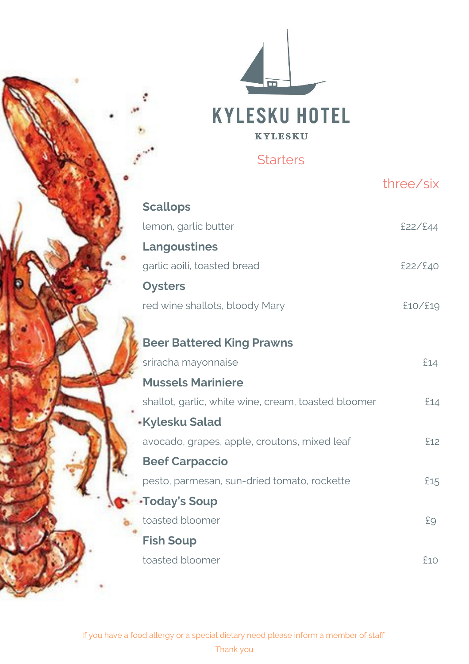

KYLESKU

#### **Starters**

|                                                     | three/six |
|-----------------------------------------------------|-----------|
| <b>Scallops</b>                                     |           |
| lemon, garlic butter                                | £22/£44   |
| <b>Langoustines</b>                                 |           |
| garlic aoili, toasted bread                         | £22/£40   |
| <b>Oysters</b>                                      |           |
| red wine shallots, bloody Mary                      | £10/£19   |
|                                                     |           |
| <b>Beer Battered King Prawns</b>                    |           |
| sriracha mayonnaise                                 | £14       |
| <b>Mussels Mariniere</b>                            |           |
| shallot, garlic, white wine, cream, toasted bloomer | £14       |
| <b>*Kylesku Salad</b>                               |           |
| avocado, grapes, apple, croutons, mixed leaf        | £12       |
| <b>Beef Carpaccio</b>                               |           |
| pesto, parmesan, sun-dried tomato, rockette         | £15       |
| • Today's Soup                                      |           |
| toasted bloomer                                     | £9        |
| <b>Fish Soup</b>                                    |           |
| toasted bloomer                                     | £10       |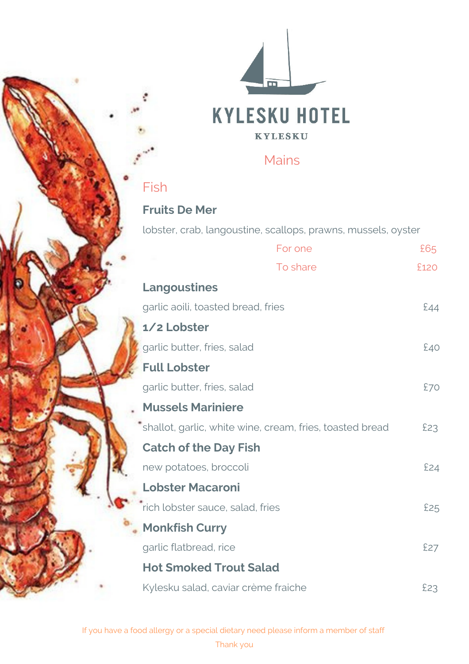

#### Mains

## Fish

#### **Fruits De Mer**

lobster, crab, langoustine, scallops, prawns, mussels, oyster

|                                    | For one                                                  | £65  |  |  |  |
|------------------------------------|----------------------------------------------------------|------|--|--|--|
|                                    | To share                                                 | £120 |  |  |  |
| <b>Langoustines</b>                |                                                          |      |  |  |  |
| garlic aoili, toasted bread, fries |                                                          | £44  |  |  |  |
| 1/2 Lobster                        |                                                          |      |  |  |  |
| garlic butter, fries, salad        |                                                          | £40  |  |  |  |
| <b>Full Lobster</b>                |                                                          |      |  |  |  |
| garlic butter, fries, salad        |                                                          | £70  |  |  |  |
| <b>Mussels Mariniere</b>           |                                                          |      |  |  |  |
|                                    | shallot, garlic, white wine, cream, fries, toasted bread | £23  |  |  |  |
| <b>Catch of the Day Fish</b>       |                                                          |      |  |  |  |
| new potatoes, broccoli             |                                                          | £24  |  |  |  |
| <b>Lobster Macaroni</b>            |                                                          |      |  |  |  |
| rich lobster sauce, salad, fries   |                                                          | £25  |  |  |  |
| <b>Monkfish Curry</b>              |                                                          |      |  |  |  |
| garlic flatbread, rice             |                                                          | £27  |  |  |  |
| <b>Hot Smoked Trout Salad</b>      |                                                          |      |  |  |  |
|                                    | Kylesku salad, caviar crème fraiche                      | £23  |  |  |  |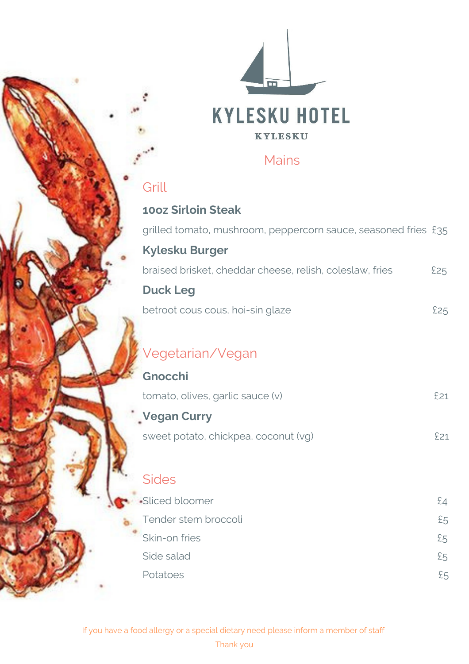

### Mains

# Grill

## **10oz Sirloin Steak**

| grilled tomato, mushroom, peppercorn sauce, seasoned fries £35 |     |
|----------------------------------------------------------------|-----|
| <b>Kylesku Burger</b>                                          |     |
| braised brisket, cheddar cheese, relish, coleslaw, fries       | £25 |
| <b>Duck Leg</b>                                                |     |
| betroot cous cous, hoi-sin glaze                               | £25 |
|                                                                |     |
| Vegetarian/Vegan                                               |     |
| Gnocchi                                                        |     |
| tomato, olives, garlic sauce (v)                               | £21 |
| Vegan Curry                                                    |     |
| sweet potato, chickpea, coconut (vg)                           | £21 |
|                                                                |     |
| <b>Sides</b>                                                   |     |
| -Sliced bloomer                                                | £4  |
| Tender stem broccoli                                           | £5  |
| Skin-on fries                                                  | E5  |
| Side salad                                                     | £5  |
| Potatoes                                                       | £5  |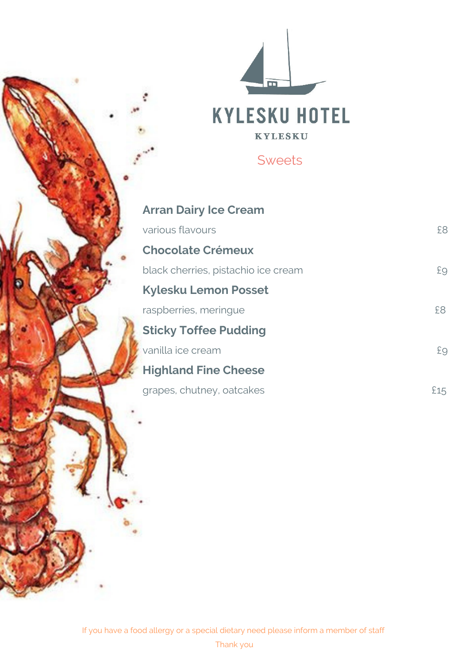

**KYLESKU** 

Sweets

| <b>Arran Dairy Ice Cream</b>        |     |
|-------------------------------------|-----|
| various flavours                    | £8  |
| <b>Chocolate Crémeux</b>            |     |
| black cherries, pistachio ice cream | £9  |
| <b>Kylesku Lemon Posset</b>         |     |
| raspberries, meringue               | £8  |
| <b>Sticky Toffee Pudding</b>        |     |
| vanilla ice cream                   | £9  |
| <b>Highland Fine Cheese</b>         |     |
| grapes, chutney, oatcakes           | £15 |